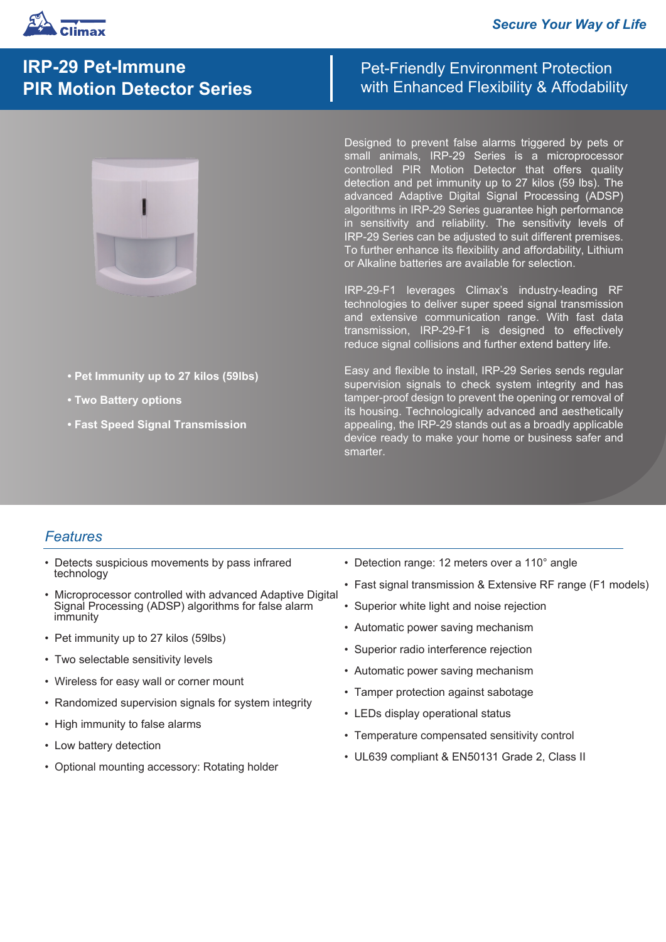

# **IRP-29 Pet-Immune PIR Motion Detector Series**

- **Pet Immunity up to 27 kilos (59lbs)**
- **Two Battery options**
- **Fast Speed Signal Transmission**

Pet-Friendly Environment Protection with Enhanced Flexibility & Affodability

Designed to prevent false alarms triggered by pets or small animals, IRP-29 Series is a microprocessor controlled PIR Motion Detector that offers quality detection and pet immunity up to 27 kilos (59 lbs). The advanced Adaptive Digital Signal Processing (ADSP) algorithms in IRP-29 Series guarantee high performance in sensitivity and reliability. The sensitivity levels of IRP-29 Series can be adjusted to suit different premises. To further enhance its flexibility and affordability, Lithium or Alkaline batteries are available for selection.

IRP-29-F1 leverages Climax's industry-leading RF technologies to deliver super speed signal transmission and extensive communication range. With fast data transmission, IRP-29-F1 is designed to effectively reduce signal collisions and further extend battery life.

Easy and flexible to install, IRP-29 Series sends regular supervision signals to check system integrity and has tamper-proof design to prevent the opening or removal of its housing. Technologically advanced and aesthetically appealing, the IRP-29 stands out as a broadly applicable device ready to make your home or business safer and smarter.

## *Features*

- Detects suspicious movements by pass infrared technology
- Microprocessor controlled with advanced Adaptive Digital Signal Processing (ADSP) algorithms for false alarm immunity
- Pet immunity up to 27 kilos (59lbs)
- Two selectable sensitivity levels
- Wireless for easy wall or corner mount
- Randomized supervision signals for system integrity
- High immunity to false alarms
- Low battery detection
- Optional mounting accessory: Rotating holder
- Detection range: 12 meters over a 110° angle
- Fast signal transmission & Extensive RF range (F1 models)
- Superior white light and noise rejection
- Automatic power saving mechanism
- Superior radio interference rejection
- Automatic power saving mechanism
- Tamper protection against sabotage
- LEDs display operational status
- Temperature compensated sensitivity control
- UL639 compliant & EN50131 Grade 2, Class II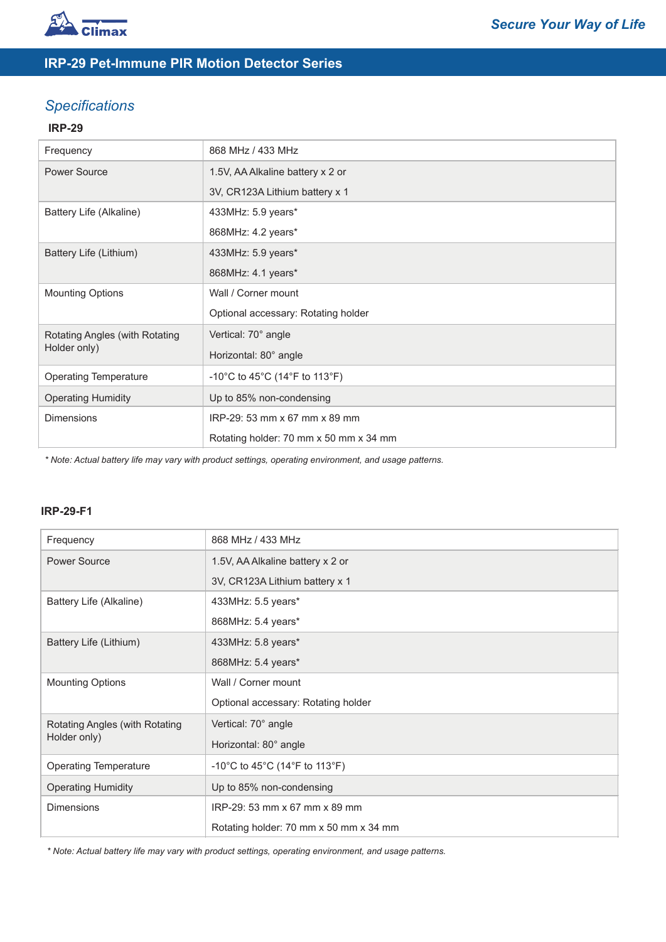

## **IRP-29 Pet-Immune PIR Motion Detector Series**

## *Specifications*

### **IRP-29**

| Frequency                                      | 868 MHz / 433 MHz                      |
|------------------------------------------------|----------------------------------------|
| <b>Power Source</b>                            | 1.5V, AA Alkaline battery x 2 or       |
|                                                | 3V, CR123A Lithium battery x 1         |
| Battery Life (Alkaline)                        | 433MHz: 5.9 years*                     |
|                                                | 868MHz: 4.2 years*                     |
| Battery Life (Lithium)                         | 433MHz: 5.9 years*                     |
|                                                | 868MHz: 4.1 years*                     |
| <b>Mounting Options</b>                        | Wall / Corner mount                    |
|                                                | Optional accessary: Rotating holder    |
| Rotating Angles (with Rotating<br>Holder only) | Vertical: 70° angle                    |
|                                                | Horizontal: 80° angle                  |
| <b>Operating Temperature</b>                   | -10°C to 45°C (14°F to 113°F)          |
| <b>Operating Humidity</b>                      | Up to 85% non-condensing               |
| <b>Dimensions</b>                              | IRP-29: 53 mm x 67 mm x 89 mm          |
|                                                | Rotating holder: 70 mm x 50 mm x 34 mm |

*\* Note: Actual battery life may vary with product settings, operating environment, and usage patterns.* 

### **IRP-29-F1**

| Frequency                                      | 868 MHz / 433 MHz                      |
|------------------------------------------------|----------------------------------------|
|                                                |                                        |
| <b>Power Source</b>                            | 1.5V, AA Alkaline battery x 2 or       |
|                                                | 3V, CR123A Lithium battery x 1         |
| Battery Life (Alkaline)                        | 433MHz: 5.5 years*                     |
|                                                | 868MHz: 5.4 years*                     |
| Battery Life (Lithium)                         | 433MHz: 5.8 years*                     |
|                                                | 868MHz: 5.4 years*                     |
| <b>Mounting Options</b>                        | Wall / Corner mount                    |
|                                                | Optional accessary: Rotating holder    |
| Rotating Angles (with Rotating<br>Holder only) | Vertical: 70° angle                    |
|                                                | Horizontal: 80° angle                  |
| <b>Operating Temperature</b>                   | -10°C to 45°C (14°F to 113°F)          |
| <b>Operating Humidity</b>                      | Up to 85% non-condensing               |
| <b>Dimensions</b>                              | IRP-29: 53 mm x 67 mm x 89 mm          |
|                                                | Rotating holder: 70 mm x 50 mm x 34 mm |

*\* Note: Actual battery life may vary with product settings, operating environment, and usage patterns.*